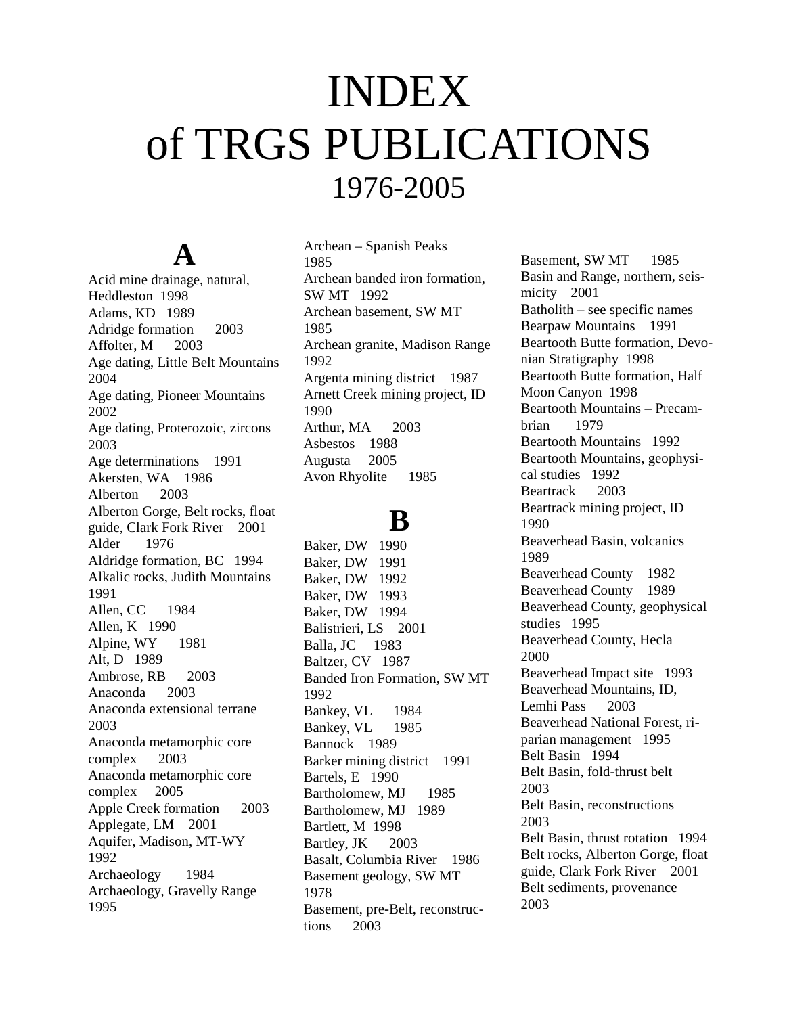# INDEX of TRGS PUBLICATIONS 1976-2005

## **A**

Acid mine drainage, natural, Heddleston 1998 Adams, KD 1989 Adridge formation 2003 Affolter, M 2003 Age dating, Little Belt Mountains 2004 Age dating, Pioneer Mountains 2002 Age dating, Proterozoic, zircons 2003 Age determinations 1991 Akersten, WA 1986 Alberton 2003 Alberton Gorge, Belt rocks, float guide, Clark Fork River 2001 Alder 1976 Aldridge formation, BC 1994 Alkalic rocks, Judith Mountains 1991 Allen, CC 1984 Allen, K 1990 Alpine, WY 1981 Alt, D 1989 Ambrose, RB 2003 Anaconda 2003 Anaconda extensional terrane 2003 Anaconda metamorphic core complex 2003 Anaconda metamorphic core complex 2005 Apple Creek formation 2003 Applegate, LM 2001 Aquifer, Madison, MT-WY 1992 Archaeology 1984 Archaeology, Gravelly Range 1995

Archean – Spanish Peaks 1985 Archean banded iron formation, SW MT 1992 Archean basement, SW MT 1985 Archean granite, Madison Range 1992 Argenta mining district 1987 Arnett Creek mining project, ID 1990 Arthur, MA 2003 Asbestos 1988 Augusta 2005 Avon Rhyolite 1985

### **B**

Baker, DW 1990 Baker, DW 1991 Baker, DW 1992 Baker, DW 1993 Baker, DW 1994 Balistrieri, LS 2001 Balla, JC 1983 Baltzer, CV 1987 Banded Iron Formation, SW MT 1992 Bankey, VL 1984 Bankey, VL 1985 Bannock 1989 Barker mining district 1991 Bartels, E 1990 Bartholomew, MJ 1985 Bartholomew, MJ 1989 Bartlett, M 1998 Bartley, JK 2003 Basalt, Columbia River 1986 Basement geology, SW MT 1978 Basement, pre-Belt, reconstructions 2003

Basement, SW MT 1985 Basin and Range, northern, seismicity 2001 Batholith – see specific names Bearpaw Mountains 1991 Beartooth Butte formation, Devonian Stratigraphy 1998 Beartooth Butte formation, Half Moon Canyon 1998 Beartooth Mountains – Precambrian 1979 Beartooth Mountains 1992 Beartooth Mountains, geophysical studies 1992 Beartrack 2003 Beartrack mining project, ID 1990 Beaverhead Basin, volcanics 1989 Beaverhead County 1982 Beaverhead County 1989 Beaverhead County, geophysical studies 1995 Beaverhead County, Hecla 2000 Beaverhead Impact site 1993 Beaverhead Mountains, ID, Lemhi Pass 2003 Beaverhead National Forest, riparian management 1995 Belt Basin 1994 Belt Basin, fold-thrust belt 2003 Belt Basin, reconstructions 2003 Belt Basin, thrust rotation 1994 Belt rocks, Alberton Gorge, float guide, Clark Fork River 2001 Belt sediments, provenance 2003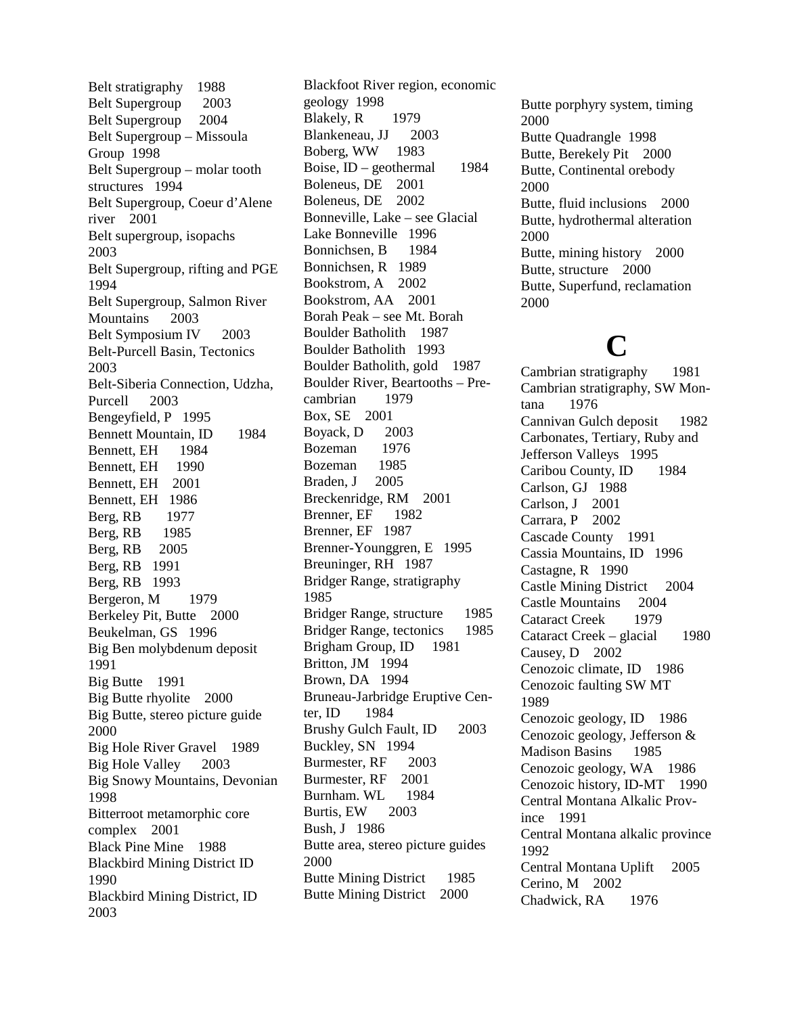Belt stratigraphy 1988 Belt Supergroup 2003 Belt Supergroup 2004 Belt Supergroup – Missoula Group 1998 Belt Supergroup – molar tooth structures 1994 Belt Supergroup, Coeur d'Alene river 2001 Belt supergroup, isopachs 2003 Belt Supergroup, rifting and PGE 1994 Belt Supergroup, Salmon River Mountains 2003 Belt Symposium IV 2003 Belt-Purcell Basin, Tectonics 2003 Belt-Siberia Connection, Udzha, Purcell 2003 Bengeyfield, P 1995 Bennett Mountain, ID 1984 Bennett, EH 1984 Bennett, EH 1990 Bennett, EH 2001 Bennett, EH 1986 Berg, RB 1977 Berg, RB 1985 Berg, RB 2005 Berg, RB 1991 Berg, RB 1993 Bergeron, M 1979 Berkeley Pit, Butte 2000 Beukelman, GS 1996 Big Ben molybdenum deposit 1991 Big Butte 1991 Big Butte rhyolite 2000 Big Butte, stereo picture guide 2000 Big Hole River Gravel 1989 Big Hole Valley 2003 Big Snowy Mountains, Devonian 1998 Bitterroot metamorphic core complex 2001 Black Pine Mine 1988 Blackbird Mining District ID 1990 Blackbird Mining District, ID 2003

Blackfoot River region, economic geology 1998 Blakely, R 1979 Blankeneau, JJ 2003 Boberg, WW 1983 Boise, ID – geothermal 1984 Boleneus, DE 2001 Boleneus, DE 2002 Bonneville, Lake – see Glacial Lake Bonneville 1996 Bonnichsen, B 1984 Bonnichsen, R 1989 Bookstrom, A 2002 Bookstrom, AA 2001 Borah Peak – see Mt. Borah Boulder Batholith 1987 Boulder Batholith 1993 Boulder Batholith, gold 1987 Boulder River, Beartooths – Precambrian 1979 Box, SE 2001 Boyack, D 2003 Bozeman 1976 Bozeman 1985 Braden, J 2005 Breckenridge, RM 2001 Brenner, EF 1982 Brenner, EF 1987 Brenner-Younggren, E 1995 Breuninger, RH 1987 Bridger Range, stratigraphy 1985 Bridger Range, structure 1985 Bridger Range, tectonics 1985 Brigham Group, ID 1981 Britton, JM 1994 Brown, DA 1994 Bruneau-Jarbridge Eruptive Center, ID 1984 Brushy Gulch Fault, ID 2003 Buckley, SN 1994 Burmester, RF 2003 Burmester, RF 2001 Burnham. WL 1984 Burtis, EW 2003 Bush, J 1986 Butte area, stereo picture guides 2000 Butte Mining District 1985 Butte Mining District 2000

Butte porphyry system, timing 2000 Butte Quadrangle 1998 Butte, Berekely Pit 2000 Butte, Continental orebody 2000 Butte, fluid inclusions 2000 Butte, hydrothermal alteration 2000 Butte, mining history 2000 Butte, structure 2000 Butte, Superfund, reclamation 2000

## **C**

Cambrian stratigraphy 1981 Cambrian stratigraphy, SW Montana 1976 Cannivan Gulch deposit 1982 Carbonates, Tertiary, Ruby and Jefferson Valleys 1995 Caribou County, ID 1984 Carlson, GJ 1988 Carlson, J 2001 Carrara, P 2002 Cascade County 1991 Cassia Mountains, ID 1996 Castagne, R 1990 Castle Mining District 2004 Castle Mountains 2004 Cataract Creek 1979 Cataract Creek – glacial 1980 Causey, D 2002 Cenozoic climate, ID 1986 Cenozoic faulting SW MT 1989 Cenozoic geology, ID 1986 Cenozoic geology, Jefferson & Madison Basins 1985 Cenozoic geology, WA 1986 Cenozoic history, ID-MT 1990 Central Montana Alkalic Province 1991 Central Montana alkalic province 1992 Central Montana Uplift 2005 Cerino, M 2002 Chadwick, RA 1976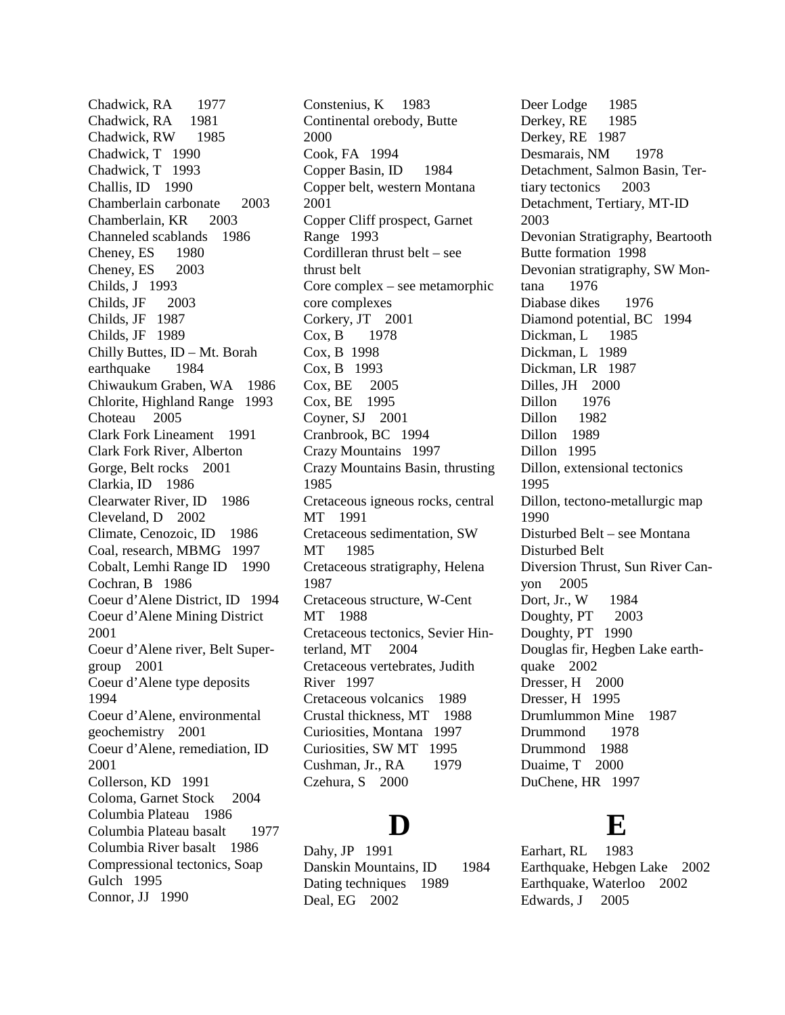Chadwick, RA 1977 Chadwick, RA 1981 Chadwick, RW 1985 Chadwick, T 1990 Chadwick, T 1993 Challis, ID 1990 Chamberlain carbonate 2003 Chamberlain, KR 2003 Channeled scablands 1986 Cheney, ES 1980 Cheney, ES 2003 Childs, J 1993 Childs, JF 2003 Childs, JF 1987 Childs, JF 1989 Chilly Buttes, ID – Mt. Borah earthquake 1984 Chiwaukum Graben, WA 1986 Chlorite, Highland Range 1993 Choteau 2005 Clark Fork Lineament 1991 Clark Fork River, Alberton Gorge, Belt rocks 2001 Clarkia, ID 1986 Clearwater River, ID 1986 Cleveland, D 2002 Climate, Cenozoic, ID 1986 Coal, research, MBMG 1997 Cobalt, Lemhi Range ID 1990 Cochran, B 1986 Coeur d'Alene District, ID 1994 Coeur d'Alene Mining District 2001 Coeur d'Alene river, Belt Supergroup 2001 Coeur d'Alene type deposits 1994 Coeur d'Alene, environmental geochemistry 2001 Coeur d'Alene, remediation, ID 2001 Collerson, KD 1991 Coloma, Garnet Stock 2004 Columbia Plateau 1986 Columbia Plateau basalt 1977 Columbia River basalt 1986 Compressional tectonics, Soap Gulch 1995 Connor, JJ 1990

Constenius, K 1983 Continental orebody, Butte 2000 Cook, FA 1994 Copper Basin, ID 1984 Copper belt, western Montana 2001 Copper Cliff prospect, Garnet Range 1993 Cordilleran thrust belt – see thrust belt Core complex – see metamorphic core complexes Corkery, JT 2001 Cox, B 1978 Cox, B 1998 Cox, B 1993 Cox, BE 2005 Cox, BE 1995 Coyner, SJ 2001 Cranbrook, BC 1994 Crazy Mountains 1997 Crazy Mountains Basin, thrusting 1985 Cretaceous igneous rocks, central MT 1991 Cretaceous sedimentation, SW MT 1985 Cretaceous stratigraphy, Helena 1987 Cretaceous structure, W-Cent MT 1988 Cretaceous tectonics, Sevier Hinterland, MT 2004 Cretaceous vertebrates, Judith River 1997 Cretaceous volcanics 1989 Crustal thickness, MT 1988 Curiosities, Montana 1997 Curiosities, SW MT 1995 Cushman, Jr., RA 1979 Czehura, S 2000

### **D**

Dahy, JP 1991 Danskin Mountains, ID 1984 Dating techniques 1989 Deal, EG 2002

Deer Lodge 1985 Derkey, RE 1985 Derkey, RE 1987 Desmarais, NM 1978 Detachment, Salmon Basin, Tertiary tectonics 2003 Detachment, Tertiary, MT-ID 2003 Devonian Stratigraphy, Beartooth Butte formation 1998 Devonian stratigraphy, SW Montana 1976 Diabase dikes 1976 Diamond potential, BC 1994 Dickman, L 1985 Dickman, L 1989 Dickman, LR 1987 Dilles, JH 2000 Dillon 1976 Dillon 1982 Dillon 1989 Dillon 1995 Dillon, extensional tectonics 1995 Dillon, tectono-metallurgic map 1990 Disturbed Belt – see Montana Disturbed Belt Diversion Thrust, Sun River Canyon 2005 Dort, Jr., W 1984 Doughty, PT 2003 Doughty, PT 1990 Douglas fir, Hegben Lake earthquake 2002 Dresser, H 2000 Dresser, H 1995 Drumlummon Mine 1987 Drummond 1978 Drummond 1988 Duaime, T 2000 DuChene, HR 1997

### **E**

Earhart, RL 1983 Earthquake, Hebgen Lake 2002 Earthquake, Waterloo 2002 Edwards, J 2005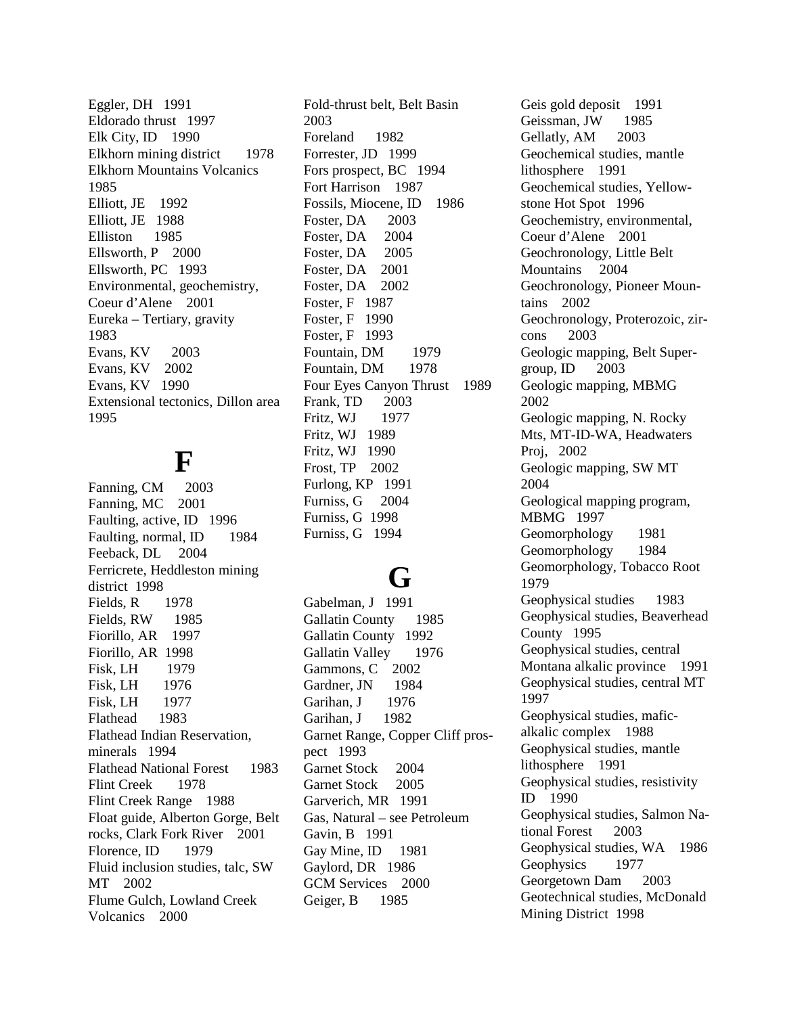Eggler, DH 1991 Eldorado thrust 1997 Elk City, ID 1990 Elkhorn mining district 1978 Elkhorn Mountains Volcanics 1985 Elliott, JE 1992 Elliott, JE 1988 Elliston 1985 Ellsworth, P 2000 Ellsworth, PC 1993 Environmental, geochemistry, Coeur d'Alene 2001 Eureka – Tertiary, gravity 1983 Evans, KV 2003 Evans, KV 2002 Evans, KV 1990 Extensional tectonics, Dillon area 1995

### **F**

Fanning, CM 2003 Fanning, MC 2001 Faulting, active, ID 1996 Faulting, normal, ID 1984 Feeback, DL 2004 Ferricrete, Heddleston mining district 1998 Fields, R 1978 Fields, RW 1985 Fiorillo, AR 1997 Fiorillo, AR 1998 Fisk, LH 1979 Fisk, LH 1976 Fisk, LH 1977 Flathead 1983 Flathead Indian Reservation, minerals 1994 Flathead National Forest 1983 Flint Creek 1978 Flint Creek Range 1988 Float guide, Alberton Gorge, Belt rocks, Clark Fork River 2001 Florence, ID 1979 Fluid inclusion studies, talc, SW MT 2002 Flume Gulch, Lowland Creek Volcanics 2000

Fold-thrust belt, Belt Basin 2003 Foreland 1982 Forrester, JD 1999 Fors prospect, BC 1994 Fort Harrison 1987 Fossils, Miocene, ID 1986 Foster, DA 2003 Foster, DA 2004 Foster, DA 2005 Foster, DA 2001 Foster, DA 2002 Foster, F 1987 Foster, F 1990 Foster, F 1993 Fountain, DM 1979 Fountain, DM 1978 Four Eyes Canyon Thrust 1989 Frank, TD 2003 Fritz, WJ 1977 Fritz, WJ 1989 Fritz, WJ 1990 Frost, TP 2002 Furlong, KP 1991 Furniss, G 2004 Furniss, G 1998 Furniss, G 1994

## **G**

Gabelman, J 1991 Gallatin County 1985 Gallatin County 1992 Gallatin Valley 1976 Gammons, C 2002 Gardner, JN 1984 Garihan, J 1976 Garihan, J 1982 Garnet Range, Copper Cliff prospect 1993 Garnet Stock 2004 Garnet Stock 2005 Garverich, MR 1991 Gas, Natural – see Petroleum Gavin, B 1991 Gay Mine, ID 1981 Gaylord, DR 1986 GCM Services 2000 Geiger, B 1985

Geis gold deposit 1991 Geissman, JW 1985 Gellatly, AM 2003 Geochemical studies, mantle lithosphere 1991 Geochemical studies, Yellowstone Hot Spot 1996 Geochemistry, environmental, Coeur d'Alene 2001 Geochronology, Little Belt Mountains 2004 Geochronology, Pioneer Mountains 2002 Geochronology, Proterozoic, zircons 2003 Geologic mapping, Belt Supergroup,  $ID$  2003 Geologic mapping, MBMG 2002 Geologic mapping, N. Rocky Mts, MT-ID-WA, Headwaters Proj, 2002 Geologic mapping, SW MT 2004 Geological mapping program, MBMG 1997 Geomorphology 1981 Geomorphology 1984 Geomorphology, Tobacco Root 1979 Geophysical studies 1983 Geophysical studies, Beaverhead County 1995 Geophysical studies, central Montana alkalic province 1991 Geophysical studies, central MT 1997 Geophysical studies, maficalkalic complex 1988 Geophysical studies, mantle lithosphere 1991 Geophysical studies, resistivity ID 1990 Geophysical studies, Salmon National Forest 2003 Geophysical studies, WA 1986 Geophysics 1977 Georgetown Dam 2003 Geotechnical studies, McDonald Mining District 1998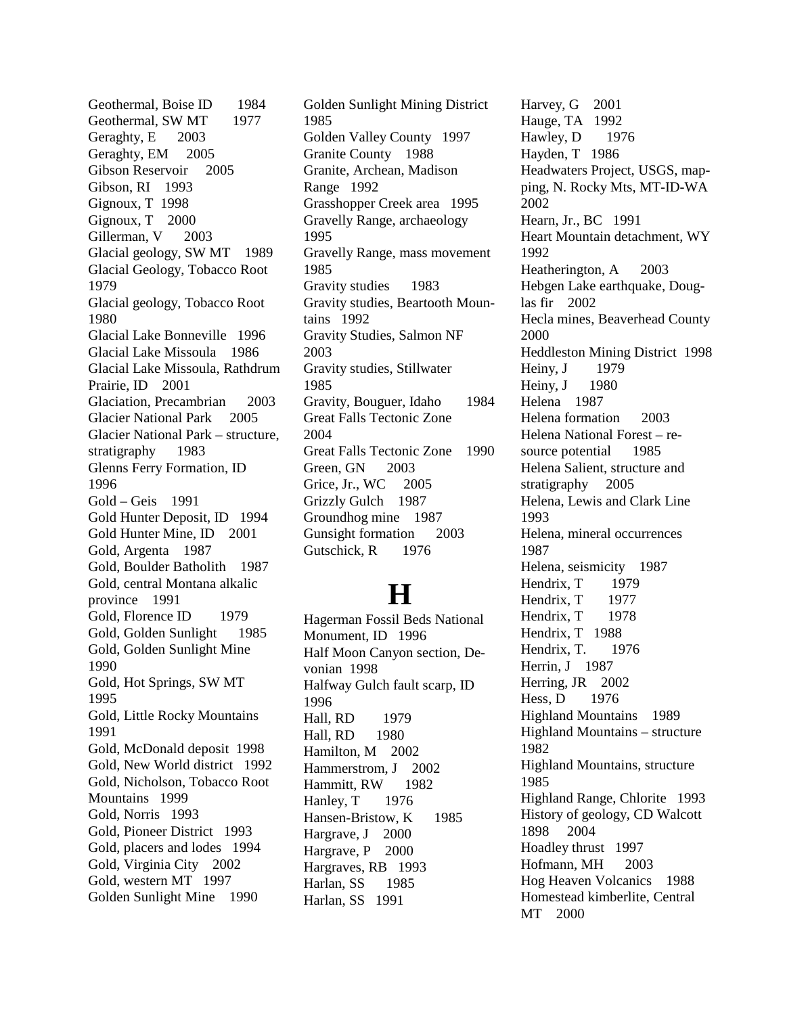Geothermal, Boise ID 1984 Geothermal, SW MT 1977 Geraghty, E 2003 Geraghty, EM 2005 Gibson Reservoir 2005 Gibson, RI 1993 Gignoux, T 1998 Gignoux, T 2000 Gillerman, V 2003 Glacial geology, SW MT 1989 Glacial Geology, Tobacco Root 1979 Glacial geology, Tobacco Root 1980 Glacial Lake Bonneville 1996 Glacial Lake Missoula 1986 Glacial Lake Missoula, Rathdrum Prairie, ID 2001 Glaciation, Precambrian 2003 Glacier National Park 2005 Glacier National Park – structure, stratigraphy 1983 Glenns Ferry Formation, ID 1996 Gold – Geis 1991 Gold Hunter Deposit, ID 1994 Gold Hunter Mine, ID 2001 Gold, Argenta 1987 Gold, Boulder Batholith 1987 Gold, central Montana alkalic province 1991 Gold, Florence ID 1979 Gold, Golden Sunlight 1985 Gold, Golden Sunlight Mine 1990 Gold, Hot Springs, SW MT 1995 Gold, Little Rocky Mountains 1991 Gold, McDonald deposit 1998 Gold, New World district 1992 Gold, Nicholson, Tobacco Root Mountains 1999 Gold, Norris 1993 Gold, Pioneer District 1993 Gold, placers and lodes 1994 Gold, Virginia City 2002 Gold, western MT 1997 Golden Sunlight Mine 1990

Golden Sunlight Mining District 1985 Golden Valley County 1997 Granite County 1988 Granite, Archean, Madison Range 1992 Grasshopper Creek area 1995 Gravelly Range, archaeology 1995 Gravelly Range, mass movement 1985 Gravity studies 1983 Gravity studies, Beartooth Mountains 1992 Gravity Studies, Salmon NF 2003 Gravity studies, Stillwater 1985 Gravity, Bouguer, Idaho 1984 Great Falls Tectonic Zone 2004 Great Falls Tectonic Zone 1990 Green, GN 2003 Grice, Jr., WC 2005 Grizzly Gulch 1987 Groundhog mine 1987 Gunsight formation 2003 Gutschick, R 1976

### **H**

Hagerman Fossil Beds National Monument, ID 1996 Half Moon Canyon section, Devonian 1998 Halfway Gulch fault scarp, ID 1996 Hall, RD 1979 Hall, RD 1980 Hamilton, M 2002 Hammerstrom, J 2002 Hammitt, RW 1982 Hanley, T 1976 Hansen-Bristow, K 1985 Hargrave, J 2000 Hargrave, P 2000 Hargraves, RB 1993 Harlan, SS 1985 Harlan, SS 1991

Harvey, G 2001 Hauge, TA 1992 Hawley, D 1976 Hayden, T 1986 Headwaters Project, USGS, mapping, N. Rocky Mts, MT-ID-WA 2002 Hearn, Jr., BC 1991 Heart Mountain detachment, WY 1992 Heatherington, A 2003 Hebgen Lake earthquake, Douglas fir 2002 Hecla mines, Beaverhead County 2000 Heddleston Mining District 1998 Heiny, J 1979 Heiny, J 1980 Helena 1987 Helena formation 2003 Helena National Forest – resource potential 1985 Helena Salient, structure and stratigraphy 2005 Helena, Lewis and Clark Line 1993 Helena, mineral occurrences 1987 Helena, seismicity 1987 Hendrix, T 1979 Hendrix, T 1977 Hendrix, T 1978 Hendrix, T 1988 Hendrix, T. 1976 Herrin, J 1987 Herring, JR 2002 Hess, D 1976 Highland Mountains 1989 Highland Mountains – structure 1982 Highland Mountains, structure 1985 Highland Range, Chlorite 1993 History of geology, CD Walcott 1898 2004 Hoadley thrust 1997 Hofmann, MH 2003 Hog Heaven Volcanics 1988 Homestead kimberlite, Central MT 2000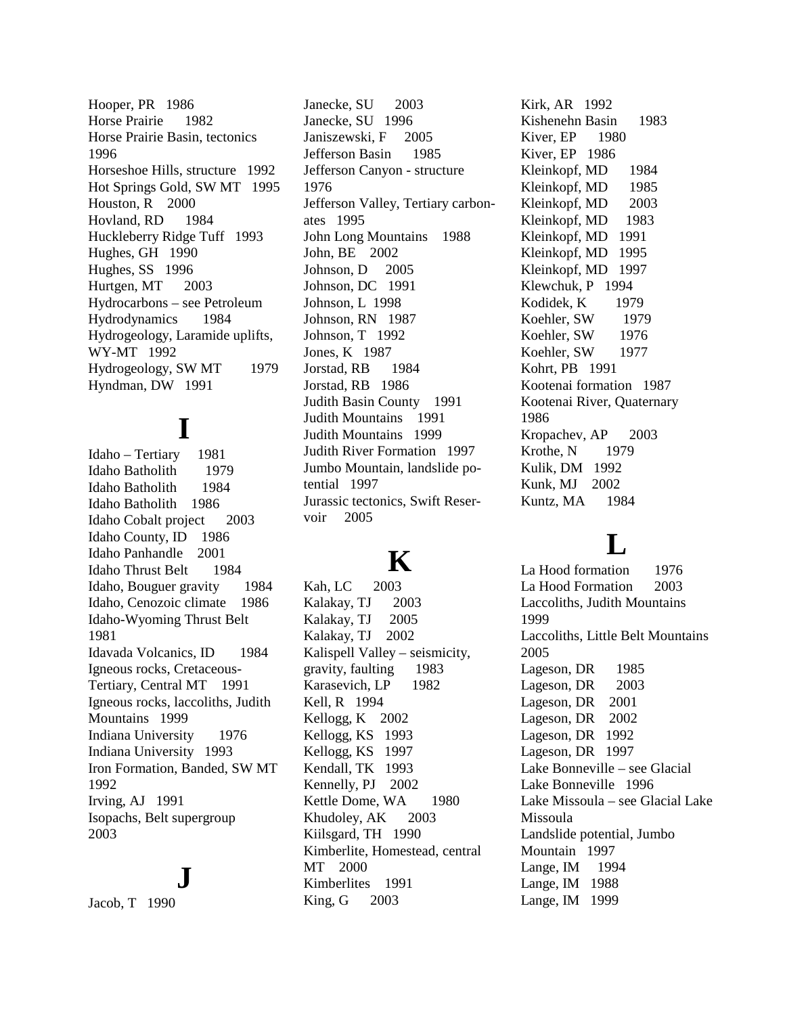Hooper, PR 1986 Horse Prairie 1982 Horse Prairie Basin, tectonics 1996 Horseshoe Hills, structure 1992 Hot Springs Gold, SW MT 1995 Houston, R 2000 Hovland, RD 1984 Huckleberry Ridge Tuff 1993 Hughes, GH 1990 Hughes, SS 1996 Hurtgen, MT 2003 Hydrocarbons – see Petroleum Hydrodynamics 1984 Hydrogeology, Laramide uplifts, WY-MT 1992 Hydrogeology, SW MT 1979 Hyndman, DW 1991

## **I**

Idaho – Tertiary 1981 Idaho Batholith 1979 Idaho Batholith 1984 Idaho Batholith 1986 Idaho Cobalt project 2003 Idaho County, ID 1986 Idaho Panhandle 2001 Idaho Thrust Belt 1984 Idaho, Bouguer gravity 1984 Idaho, Cenozoic climate 1986 Idaho-Wyoming Thrust Belt 1981 Idavada Volcanics, ID 1984 Igneous rocks, Cretaceous-Tertiary, Central MT 1991 Igneous rocks, laccoliths, Judith Mountains 1999 Indiana University 1976 Indiana University 1993 Iron Formation, Banded, SW MT 1992 Irving, AJ 1991 Isopachs, Belt supergroup 2003

#### **J**

Jacob, T 1990

Janecke, SU 2003 Janecke, SU 1996 Janiszewski, F 2005 Jefferson Basin 1985 Jefferson Canyon - structure 1976 Jefferson Valley, Tertiary carbonates 1995 John Long Mountains 1988 John, BE 2002 Johnson, D 2005 Johnson, DC 1991 Johnson, L 1998 Johnson, RN 1987 Johnson, T 1992 Jones, K 1987 Jorstad, RB 1984 Jorstad, RB 1986 Judith Basin County 1991 Judith Mountains 1991 Judith Mountains 1999 Judith River Formation 1997 Jumbo Mountain, landslide potential 1997 Jurassic tectonics, Swift Reservoir 2005

### **K**

Kah, LC 2003 Kalakay, TJ 2003 Kalakay, TJ 2005 Kalakay, TJ 2002 Kalispell Valley – seismicity, gravity, faulting 1983 Karasevich, LP 1982 Kell, R 1994 Kellogg, K 2002 Kellogg, KS 1993 Kellogg, KS 1997 Kendall, TK 1993 Kennelly, PJ 2002 Kettle Dome, WA 1980 Khudoley, AK 2003 Kiilsgard, TH 1990 Kimberlite, Homestead, central MT 2000 Kimberlites 1991 King, G 2003

Kirk, AR 1992 Kishenehn Basin 1983 Kiver, EP 1980 Kiver, EP 1986 Kleinkopf, MD 1984 Kleinkopf, MD 1985 Kleinkopf, MD 2003 Kleinkopf, MD 1983 Kleinkopf, MD 1991 Kleinkopf, MD 1995 Kleinkopf, MD 1997 Klewchuk, P 1994 Kodidek, K 1979 Koehler, SW 1979 Koehler, SW 1976 Koehler, SW 1977 Kohrt, PB 1991 Kootenai formation 1987 Kootenai River, Quaternary 1986 Kropachev, AP 2003 Krothe, N 1979 Kulik, DM 1992 Kunk, MJ 2002 Kuntz, MA 1984

## **L**

La Hood formation 1976 La Hood Formation 2003 Laccoliths, Judith Mountains 1999 Laccoliths, Little Belt Mountains 2005 Lageson, DR 1985 Lageson, DR 2003 Lageson, DR 2001 Lageson, DR 2002 Lageson, DR 1992 Lageson, DR 1997 Lake Bonneville – see Glacial Lake Bonneville 1996 Lake Missoula – see Glacial Lake Missoula Landslide potential, Jumbo Mountain 1997 Lange, IM 1994 Lange, IM 1988 Lange, IM 1999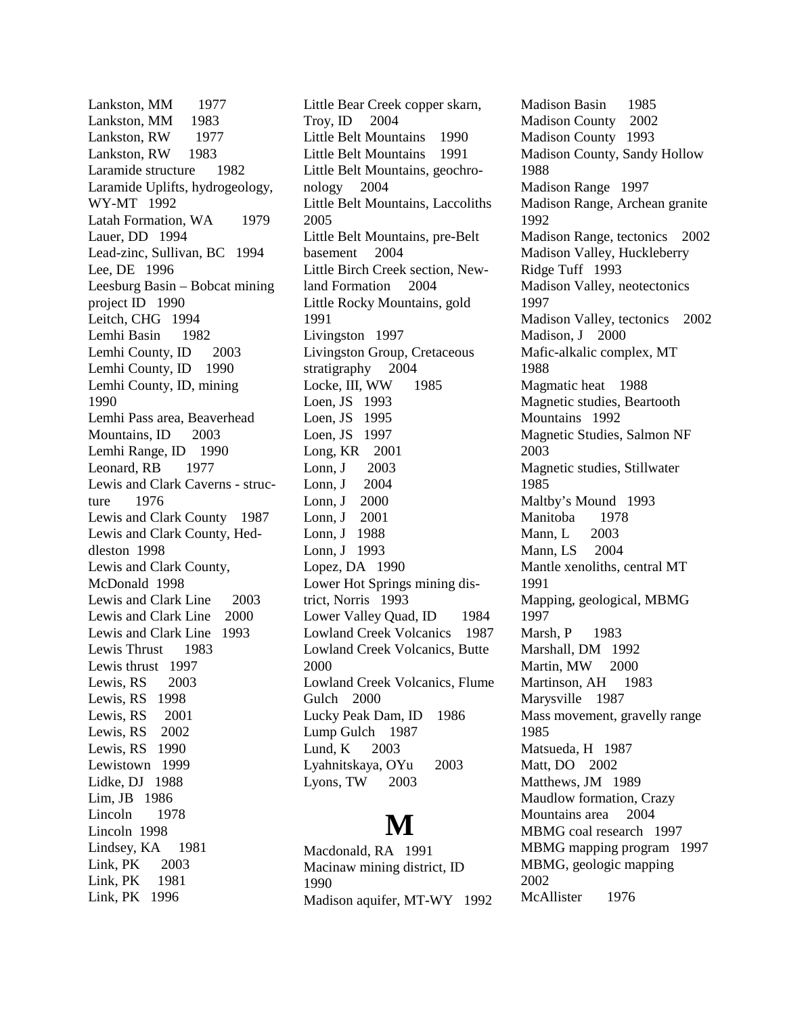Lankston, MM 1977 Lankston, MM 1983 Lankston, RW 1977 Lankston, RW 1983 Laramide structure 1982 Laramide Uplifts, hydrogeology, WY-MT 1992 Latah Formation, WA 1979 Lauer, DD 1994 Lead-zinc, Sullivan, BC 1994 Lee, DE 1996 Leesburg Basin – Bobcat mining project ID 1990 Leitch, CHG 1994 Lemhi Basin 1982 Lemhi County, ID 2003 Lemhi County, ID 1990 Lemhi County, ID, mining 1990 Lemhi Pass area, Beaverhead Mountains, ID 2003 Lemhi Range, ID 1990 Leonard, RB 1977 Lewis and Clark Caverns - structure 1976 Lewis and Clark County 1987 Lewis and Clark County, Heddleston 1998 Lewis and Clark County, McDonald 1998 Lewis and Clark Line 2003 Lewis and Clark Line 2000 Lewis and Clark Line 1993 Lewis Thrust 1983 Lewis thrust 1997 Lewis, RS 2003 Lewis, RS 1998 Lewis, RS 2001 Lewis, RS 2002 Lewis, RS 1990 Lewistown 1999 Lidke, DJ 1988 Lim, JB 1986 Lincoln 1978 Lincoln 1998 Lindsey, KA 1981 Link, PK 2003 Link, PK 1981 Link, PK 1996

Little Bear Creek copper skarn, Troy, ID 2004 Little Belt Mountains 1990 Little Belt Mountains 1991 Little Belt Mountains, geochronology 2004 Little Belt Mountains, Laccoliths 2005 Little Belt Mountains, pre-Belt basement 2004 Little Birch Creek section, Newland Formation 2004 Little Rocky Mountains, gold 1991 Livingston 1997 Livingston Group, Cretaceous stratigraphy 2004 Locke, III, WW 1985 Loen, JS 1993 Loen, JS 1995 Loen, JS 1997 Long, KR 2001 Lonn, J 2003 Lonn, J 2004 Lonn, J 2000 Lonn, J 2001 Lonn, J 1988 Lonn, J 1993 Lopez, DA 1990 Lower Hot Springs mining district, Norris 1993 Lower Valley Quad, ID 1984 Lowland Creek Volcanics 1987 Lowland Creek Volcanics, Butte 2000 Lowland Creek Volcanics, Flume Gulch 2000 Lucky Peak Dam, ID 1986 Lump Gulch 1987 Lund, K 2003 Lyahnitskaya, OYu 2003 Lyons, TW 2003

## **M**

Macdonald, RA 1991 Macinaw mining district, ID 1990 Madison aquifer, MT-WY 1992 Madison Basin 1985 Madison County 2002 Madison County 1993 Madison County, Sandy Hollow 1988 Madison Range 1997 Madison Range, Archean granite 1992 Madison Range, tectonics 2002 Madison Valley, Huckleberry Ridge Tuff 1993 Madison Valley, neotectonics 1997 Madison Valley, tectonics 2002 Madison, J 2000 Mafic-alkalic complex, MT 1988 Magmatic heat 1988 Magnetic studies, Beartooth Mountains 1992 Magnetic Studies, Salmon NF 2003 Magnetic studies, Stillwater 1985 Maltby's Mound 1993 Manitoba 1978 Mann, L 2003 Mann, LS 2004 Mantle xenoliths, central MT 1991 Mapping, geological, MBMG 1997 Marsh, P 1983 Marshall, DM 1992 Martin, MW 2000 Martinson, AH 1983 Marysville 1987 Mass movement, gravelly range 1985 Matsueda, H 1987 Matt, DO 2002 Matthews, JM 1989 Maudlow formation, Crazy Mountains area 2004 MBMG coal research 1997 MBMG mapping program 1997 MBMG, geologic mapping 2002 McAllister 1976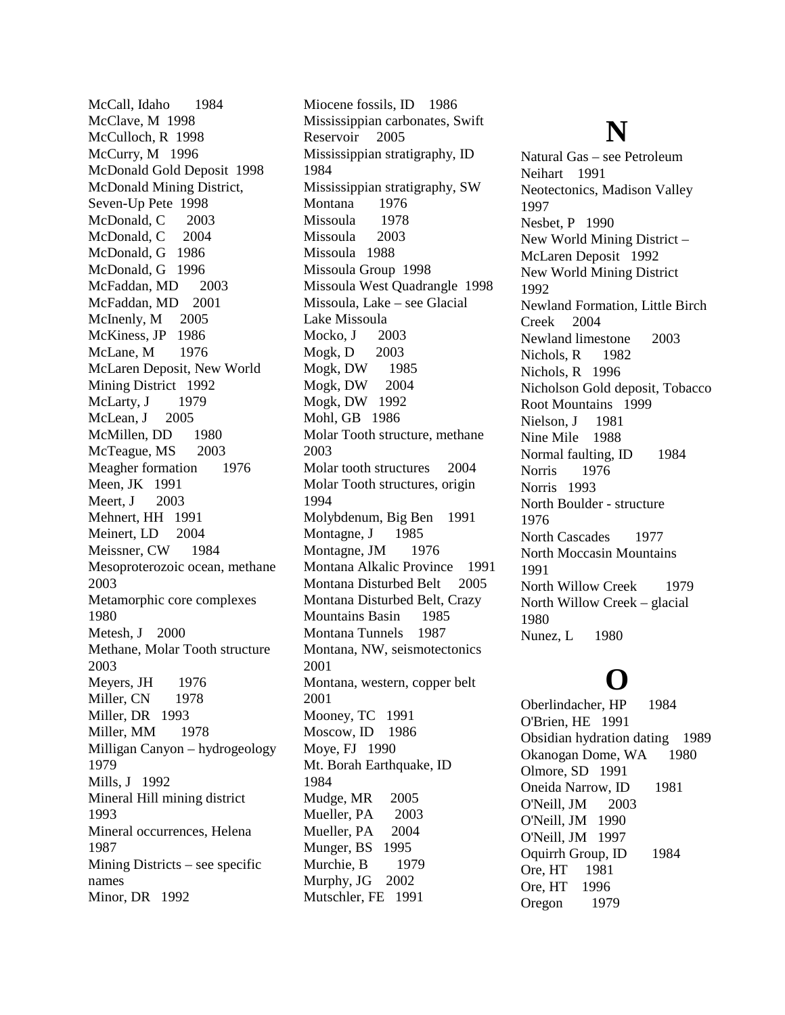McCall, Idaho 1984 McClave, M 1998 McCulloch, R 1998 McCurry, M 1996 McDonald Gold Deposit 1998 McDonald Mining District, Seven-Up Pete 1998 McDonald, C 2003 McDonald, C 2004 McDonald, G 1986 McDonald, G 1996 McFaddan, MD 2003 McFaddan, MD 2001 McInenly, M 2005 McKiness, JP 1986 McLane, M 1976 McLaren Deposit, New World Mining District 1992 McLarty, J 1979 McLean, J 2005 McMillen, DD 1980 McTeague, MS 2003 Meagher formation 1976 Meen, JK 1991 Meert, J 2003 Mehnert, HH 1991 Meinert, LD 2004 Meissner, CW 1984 Mesoproterozoic ocean, methane 2003 Metamorphic core complexes 1980 Metesh, J 2000 Methane, Molar Tooth structure 2003 Meyers, JH 1976 Miller, CN 1978 Miller, DR 1993 Miller, MM 1978 Milligan Canyon – hydrogeology 1979 Mills, J 1992 Mineral Hill mining district 1993 Mineral occurrences, Helena 1987 Mining Districts – see specific names Minor, DR 1992

Miocene fossils, ID 1986 Mississippian carbonates, Swift Reservoir 2005 Mississippian stratigraphy, ID 1984 Mississippian stratigraphy, SW Montana 1976 Missoula 1978 Missoula 2003 Missoula 1988 Missoula Group 1998 Missoula West Quadrangle 1998 Missoula, Lake – see Glacial Lake Missoula Mocko, J 2003 Mogk, D 2003 Mogk, DW 1985 Mogk, DW 2004 Mogk, DW 1992 Mohl, GB 1986 Molar Tooth structure, methane 2003 Molar tooth structures 2004 Molar Tooth structures, origin 1994 Molybdenum, Big Ben 1991 Montagne, J 1985 Montagne, JM 1976 Montana Alkalic Province 1991 Montana Disturbed Belt 2005 Montana Disturbed Belt, Crazy Mountains Basin 1985 Montana Tunnels 1987 Montana, NW, seismotectonics 2001 Montana, western, copper belt 2001 Mooney, TC 1991 Moscow, ID 1986 Moye, FJ 1990 Mt. Borah Earthquake, ID 1984 Mudge, MR 2005 Mueller, PA 2003 Mueller, PA 2004 Munger, BS 1995 Murchie, B 1979 Murphy, JG 2002 Mutschler, FE 1991

## **N**

Natural Gas – see Petroleum Neihart 1991 Neotectonics, Madison Valley 1997 Nesbet, P 1990 New World Mining District – McLaren Deposit 1992 New World Mining District 1992 Newland Formation, Little Birch Creek 2004 Newland limestone 2003 Nichols, R 1982 Nichols, R 1996 Nicholson Gold deposit, Tobacco Root Mountains 1999 Nielson, J 1981 Nine Mile 1988 Normal faulting, ID 1984 Norris 1976 Norris 1993 North Boulder - structure 1976 North Cascades 1977 North Moccasin Mountains 1991 North Willow Creek 1979 North Willow Creek – glacial 1980 Nunez, L 1980

## **O**

Oberlindacher, HP 1984 O'Brien, HE 1991 Obsidian hydration dating 1989 Okanogan Dome, WA 1980 Olmore, SD 1991 Oneida Narrow, ID 1981 O'Neill, JM 2003 O'Neill, JM 1990 O'Neill, JM 1997 Oquirrh Group, ID 1984 Ore, HT 1981 Ore, HT 1996 Oregon 1979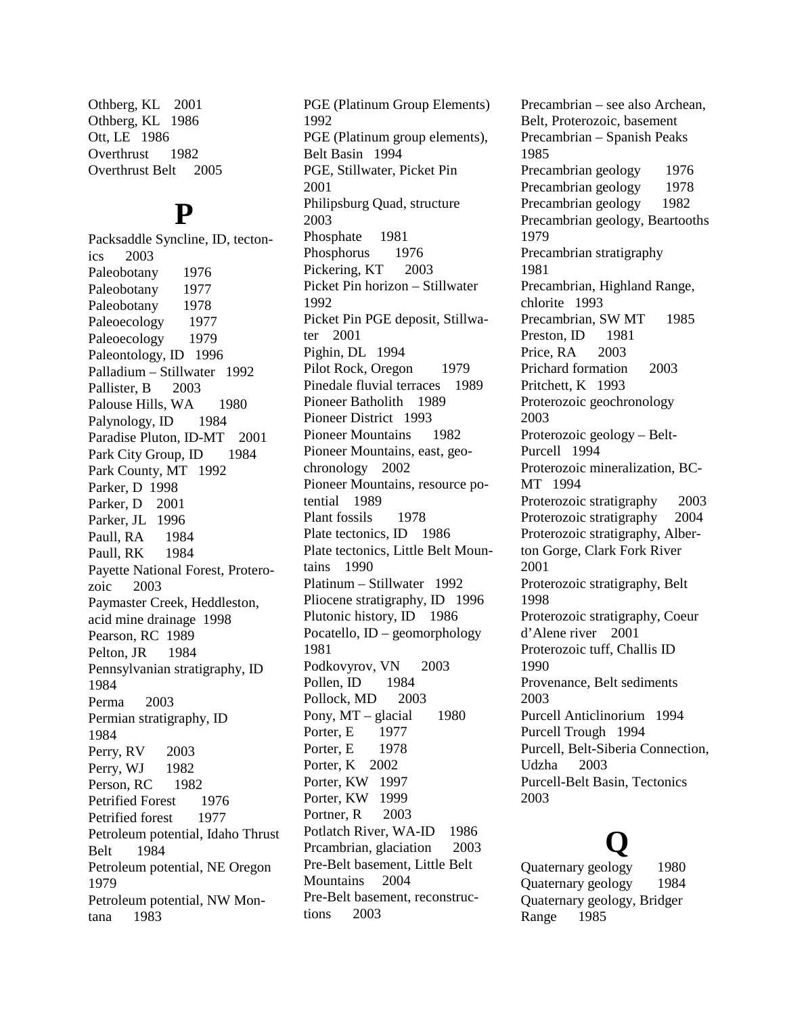Othberg, KL 2001 Othberg, KL 1986 Ott, LE 1986 Overthrust 1982 Overthrust Belt 2005

#### **P**

Packsaddle Syncline, ID, tectonics 2003 Paleobotany 1976 Paleobotany 1977 Paleobotany 1978 Paleoecology 1977 Paleoecology 1979 Paleontology, ID 1996 Palladium – Stillwater 1992 Pallister, B 2003 Palouse Hills, WA 1980 Palynology, ID 1984 Paradise Pluton, ID-MT 2001 Park City Group, ID 1984 Park County, MT 1992 Parker, D 1998 Parker, D 2001 Parker, JL 1996 Paull, RA 1984 Paull, RK 1984 Payette National Forest, Proterozoic 2003 Paymaster Creek, Heddleston, acid mine drainage 1998 Pearson, RC 1989 Pelton, JR 1984 Pennsylvanian stratigraphy, ID 1984 Perma 2003 Permian stratigraphy, ID 1984 Perry, RV 2003 Perry, WJ 1982 Person, RC 1982 Petrified Forest 1976 Petrified forest 1977 Petroleum potential, Idaho Thrust Belt 1984 Petroleum potential, NE Oregon 1979 Petroleum potential, NW Montana 1983

PGE (Platinum Group Elements) 1992 PGE (Platinum group elements), Belt Basin 1994 PGE, Stillwater, Picket Pin 2001 Philipsburg Quad, structure 2003 Phosphate 1981 Phosphorus 1976 Pickering, KT 2003 Picket Pin horizon – Stillwater 1992 Picket Pin PGE deposit, Stillwater 2001 Pighin, DL 1994 Pilot Rock, Oregon 1979 Pinedale fluvial terraces 1989 Pioneer Batholith 1989 Pioneer District 1993 Pioneer Mountains 1982 Pioneer Mountains, east, geochronology 2002 Pioneer Mountains, resource potential 1989 Plant fossils 1978 Plate tectonics, ID 1986 Plate tectonics, Little Belt Mountains 1990 Platinum – Stillwater 1992 Pliocene stratigraphy, ID 1996 Plutonic history, ID 1986 Pocatello, ID – geomorphology 1981 Podkovyrov, VN 2003 Pollen, ID 1984 Pollock, MD 2003 Pony,  $MT -$  glacial 1980 Porter, E 1977 Porter, E 1978 Porter, K 2002 Porter, KW 1997 Porter, KW 1999 Portner, R 2003 Potlatch River, WA-ID 1986 Prcambrian, glaciation 2003 Pre-Belt basement, Little Belt Mountains 2004 Pre-Belt basement, reconstructions 2003

Precambrian – see also Archean, Belt, Proterozoic, basement Precambrian – Spanish Peaks 1985 Precambrian geology 1976 Precambrian geology 1978 Precambrian geology 1982 Precambrian geology, Beartooths 1979 Precambrian stratigraphy 1981 Precambrian, Highland Range, chlorite 1993 Precambrian, SW MT 1985 Preston, ID 1981 Price, RA 2003 Prichard formation 2003 Pritchett, K 1993 Proterozoic geochronology 2003 Proterozoic geology – Belt-Purcell 1994 Proterozoic mineralization, BC-MT 1994 Proterozoic stratigraphy 2003 Proterozoic stratigraphy 2004 Proterozoic stratigraphy, Alberton Gorge, Clark Fork River 2001 Proterozoic stratigraphy, Belt 1998 Proterozoic stratigraphy, Coeur d'Alene river 2001 Proterozoic tuff, Challis ID 1990 Provenance, Belt sediments 2003 Purcell Anticlinorium 1994 Purcell Trough 1994 Purcell, Belt-Siberia Connection, Udzha 2003 Purcell-Belt Basin, Tectonics 2003

**Q** Quaternary geology 1980 Quaternary geology 1984 Quaternary geology, Bridger Range 1985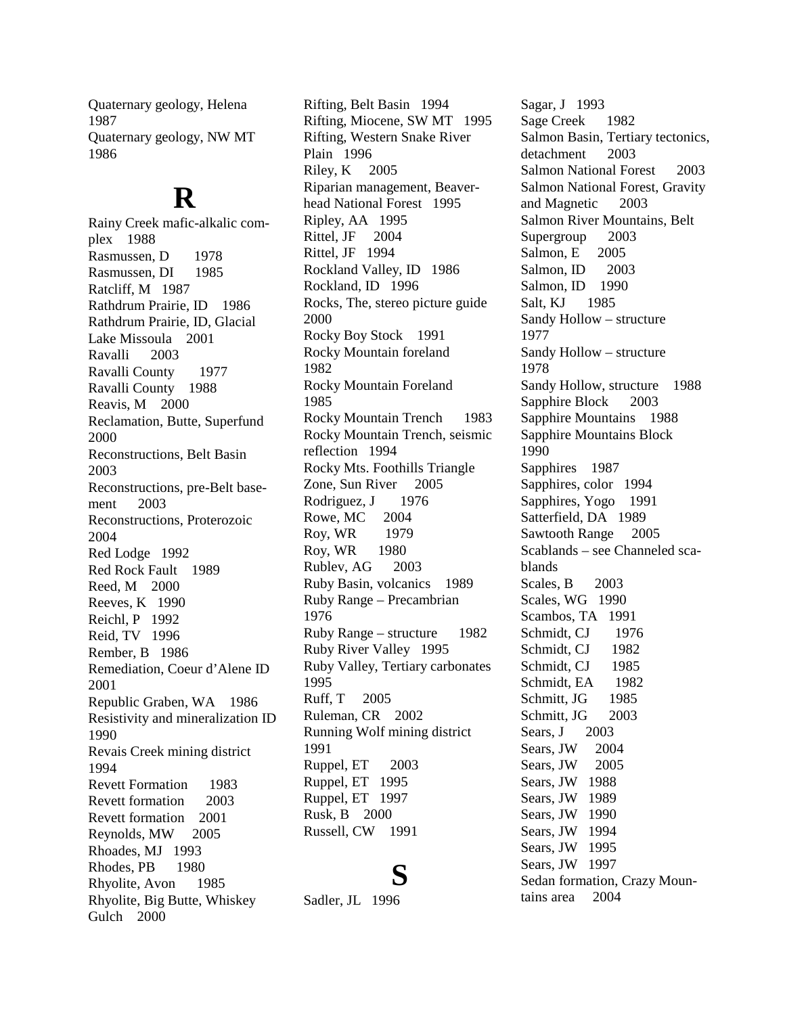Quaternary geology, Helena 1987 Quaternary geology, NW MT 1986

### **R**

Rainy Creek mafic-alkalic complex 1988 Rasmussen, D 1978 Rasmussen, DI 1985 Ratcliff, M 1987 Rathdrum Prairie, ID 1986 Rathdrum Prairie, ID, Glacial Lake Missoula 2001 Ravalli 2003 Ravalli County 1977 Ravalli County 1988 Reavis, M 2000 Reclamation, Butte, Superfund 2000 Reconstructions, Belt Basin 2003 Reconstructions, pre-Belt basement 2003 Reconstructions, Proterozoic 2004 Red Lodge 1992 Red Rock Fault 1989 Reed, M 2000 Reeves, K 1990 Reichl, P 1992 Reid, TV 1996 Rember, B 1986 Remediation, Coeur d'Alene ID 2001 Republic Graben, WA 1986 Resistivity and mineralization ID 1990 Revais Creek mining district 1994 Revett Formation 1983 Revett formation 2003 Revett formation 2001 Reynolds, MW 2005 Rhoades, MJ 1993 Rhodes, PB 1980 Rhyolite, Avon 1985 Rhyolite, Big Butte, Whiskey Gulch 2000

Rifting, Belt Basin 1994 Rifting, Miocene, SW MT 1995 Rifting, Western Snake River Plain 1996 Riley, K 2005 Riparian management, Beaverhead National Forest 1995 Ripley, AA 1995 Rittel, JF 2004 Rittel, JF 1994 Rockland Valley, ID 1986 Rockland, ID 1996 Rocks, The, stereo picture guide 2000 Rocky Boy Stock 1991 Rocky Mountain foreland 1982 Rocky Mountain Foreland 1985 Rocky Mountain Trench 1983 Rocky Mountain Trench, seismic reflection 1994 Rocky Mts. Foothills Triangle Zone, Sun River 2005 Rodriguez, J 1976 Rowe, MC 2004 Roy, WR 1979 Roy, WR 1980 Rublev, AG 2003 Ruby Basin, volcanics 1989 Ruby Range – Precambrian 1976 Ruby Range – structure 1982 Ruby River Valley 1995 Ruby Valley, Tertiary carbonates 1995 Ruff, T 2005 Ruleman, CR 2002 Running Wolf mining district 1991 Ruppel, ET 2003 Ruppel, ET 1995 Ruppel, ET 1997 Rusk, B 2000 Russell, CW 1991

## **S**

Sadler, JL 1996

Sagar, J 1993 Sage Creek 1982 Salmon Basin, Tertiary tectonics, detachment 2003 Salmon National Forest 2003 Salmon National Forest, Gravity and Magnetic 2003 Salmon River Mountains, Belt Supergroup 2003 Salmon, E 2005 Salmon, ID 2003 Salmon, ID 1990 Salt, KJ 1985 Sandy Hollow – structure 1977 Sandy Hollow – structure 1978 Sandy Hollow, structure 1988 Sapphire Block 2003 Sapphire Mountains 1988 Sapphire Mountains Block 1990 Sapphires 1987 Sapphires, color 1994 Sapphires, Yogo 1991 Satterfield, DA 1989 Sawtooth Range 2005 Scablands – see Channeled scablands Scales, B 2003 Scales, WG 1990 Scambos, TA 1991 Schmidt, CJ 1976 Schmidt, CJ 1982 Schmidt, CJ 1985 Schmidt, EA 1982 Schmitt, JG 1985 Schmitt, JG 2003 Sears, J 2003 Sears, JW 2004 Sears, JW 2005 Sears, JW 1988 Sears, JW 1989 Sears, JW 1990 Sears, JW 1994 Sears, JW 1995 Sears, JW 1997 Sedan formation, Crazy Mountains area 2004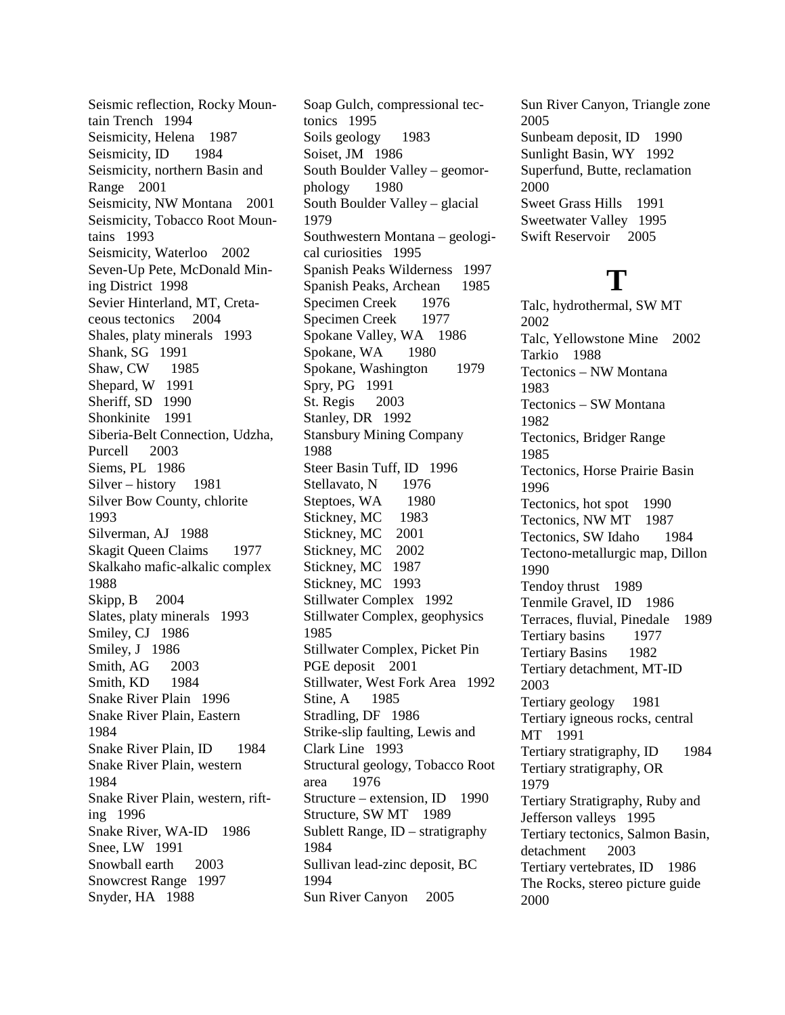Seismic reflection, Rocky Mountain Trench 1994 Seismicity, Helena 1987 Seismicity, ID 1984 Seismicity, northern Basin and Range 2001 Seismicity, NW Montana 2001 Seismicity, Tobacco Root Mountains 1993 Seismicity, Waterloo 2002 Seven-Up Pete, McDonald Mining District 1998 Sevier Hinterland, MT, Cretaceous tectonics 2004 Shales, platy minerals 1993 Shank, SG 1991 Shaw, CW 1985 Shepard, W 1991 Sheriff, SD 1990 Shonkinite 1991 Siberia-Belt Connection, Udzha, Purcell 2003 Siems, PL 1986 Silver – history 1981 Silver Bow County, chlorite 1993 Silverman, AJ 1988 Skagit Queen Claims 1977 Skalkaho mafic-alkalic complex 1988 Skipp, B 2004 Slates, platy minerals 1993 Smiley, CJ 1986 Smiley, J 1986 Smith, AG 2003 Smith, KD 1984 Snake River Plain 1996 Snake River Plain, Eastern 1984 Snake River Plain, ID 1984 Snake River Plain, western 1984 Snake River Plain, western, rifting 1996 Snake River, WA-ID 1986 Snee, LW 1991 Snowball earth 2003 Snowcrest Range 1997 Snyder, HA 1988

Soap Gulch, compressional tectonics 1995 Soils geology 1983 Soiset, JM 1986 South Boulder Valley – geomorphology 1980 South Boulder Valley – glacial 1979 Southwestern Montana – geological curiosities 1995 Spanish Peaks Wilderness 1997 Spanish Peaks, Archean 1985 Specimen Creek 1976 Specimen Creek 1977 Spokane Valley, WA 1986 Spokane, WA 1980 Spokane, Washington 1979 Spry, PG 1991 St. Regis 2003 Stanley, DR 1992 Stansbury Mining Company 1988 Steer Basin Tuff, ID 1996 Stellavato, N 1976 Steptoes, WA 1980 Stickney, MC 1983 Stickney, MC 2001 Stickney, MC 2002 Stickney, MC 1987 Stickney, MC 1993 Stillwater Complex 1992 Stillwater Complex, geophysics 1985 Stillwater Complex, Picket Pin PGE deposit 2001 Stillwater, West Fork Area 1992 Stine, A 1985 Stradling, DF 1986 Strike-slip faulting, Lewis and Clark Line 1993 Structural geology, Tobacco Root area 1976 Structure – extension, ID 1990 Structure, SW MT 1989 Sublett Range, ID – stratigraphy 1984 Sullivan lead-zinc deposit, BC 1994 Sun River Canyon 2005

Sun River Canyon, Triangle zone 2005 Sunbeam deposit, ID 1990 Sunlight Basin, WY 1992 Superfund, Butte, reclamation 2000 Sweet Grass Hills 1991 Sweetwater Valley 1995 Swift Reservoir 2005

### **T**

Talc, hydrothermal, SW MT 2002 Talc, Yellowstone Mine 2002 Tarkio 1988 Tectonics – NW Montana 1983 Tectonics – SW Montana 1982 Tectonics, Bridger Range 1985 Tectonics, Horse Prairie Basin 1996 Tectonics, hot spot 1990 Tectonics, NW MT 1987 Tectonics, SW Idaho 1984 Tectono-metallurgic map, Dillon 1990 Tendoy thrust 1989 Tenmile Gravel, ID 1986 Terraces, fluvial, Pinedale 1989 Tertiary basins 1977 Tertiary Basins 1982 Tertiary detachment, MT-ID 2003 Tertiary geology 1981 Tertiary igneous rocks, central MT 1991 Tertiary stratigraphy, ID 1984 Tertiary stratigraphy, OR 1979 Tertiary Stratigraphy, Ruby and Jefferson valleys 1995 Tertiary tectonics, Salmon Basin, detachment 2003 Tertiary vertebrates, ID 1986 The Rocks, stereo picture guide 2000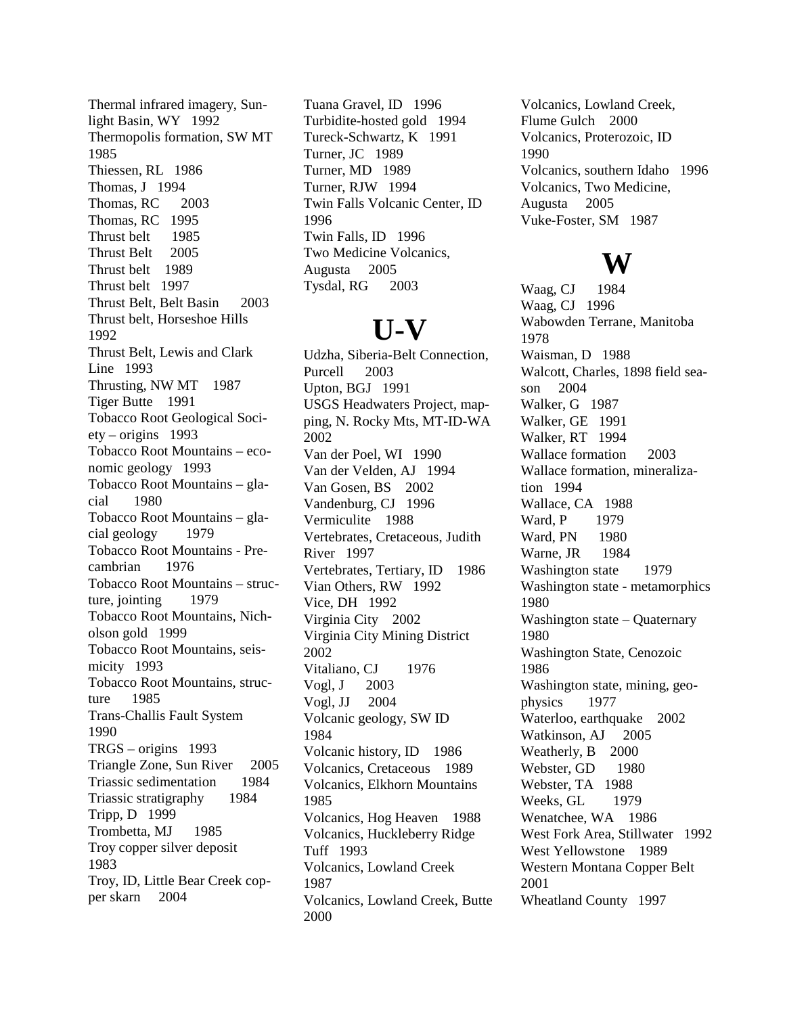Thermal infrared imagery, Sunlight Basin, WY 1992 Thermopolis formation, SW MT 1985 Thiessen, RL 1986 Thomas, J 1994 Thomas, RC 2003 Thomas, RC 1995 Thrust belt 1985 Thrust Belt 2005 Thrust belt 1989 Thrust belt 1997 Thrust Belt, Belt Basin 2003 Thrust belt, Horseshoe Hills 1992 Thrust Belt, Lewis and Clark Line 1993 Thrusting, NW MT 1987 Tiger Butte 1991 Tobacco Root Geological Society – origins 1993 Tobacco Root Mountains – economic geology 1993 Tobacco Root Mountains – glacial 1980 Tobacco Root Mountains – glacial geology 1979 Tobacco Root Mountains - Precambrian 1976 Tobacco Root Mountains – structure, jointing 1979 Tobacco Root Mountains, Nicholson gold 1999 Tobacco Root Mountains, seismicity 1993 Tobacco Root Mountains, structure 1985 Trans-Challis Fault System 1990 TRGS – origins 1993 Triangle Zone, Sun River 2005 Triassic sedimentation 1984 Triassic stratigraphy 1984 Tripp, D 1999 Trombetta, MJ 1985 Troy copper silver deposit 1983 Troy, ID, Little Bear Creek copper skarn 2004

Tuana Gravel, ID 1996 Turbidite-hosted gold 1994 Tureck-Schwartz, K 1991 Turner, JC 1989 Turner, MD 1989 Turner, RJW 1994 Twin Falls Volcanic Center, ID 1996 Twin Falls, ID 1996 Two Medicine Volcanics, Augusta 2005 Tysdal, RG 2003

### **U-V**

Udzha, Siberia-Belt Connection, Purcell 2003 Upton, BGJ 1991 USGS Headwaters Project, mapping, N. Rocky Mts, MT-ID-WA 2002 Van der Poel, WI 1990 Van der Velden, AJ 1994 Van Gosen, BS 2002 Vandenburg, CJ 1996 Vermiculite 1988 Vertebrates, Cretaceous, Judith River 1997 Vertebrates, Tertiary, ID 1986 Vian Others, RW 1992 Vice, DH 1992 Virginia City 2002 Virginia City Mining District 2002 Vitaliano, CJ 1976 Vogl, J 2003 Vogl, JJ 2004 Volcanic geology, SW ID 1984 Volcanic history, ID 1986 Volcanics, Cretaceous 1989 Volcanics, Elkhorn Mountains 1985 Volcanics, Hog Heaven 1988 Volcanics, Huckleberry Ridge Tuff 1993 Volcanics, Lowland Creek 1987 Volcanics, Lowland Creek, Butte 2000

Volcanics, Lowland Creek, Flume Gulch 2000 Volcanics, Proterozoic, ID 1990 Volcanics, southern Idaho 1996 Volcanics, Two Medicine, Augusta 2005 Vuke-Foster, SM 1987

## **W**

Waag, CJ 1984 Waag, CJ 1996 Wabowden Terrane, Manitoba 1978 Waisman, D 1988 Walcott, Charles, 1898 field season 2004 Walker, G 1987 Walker, GE 1991 Walker, RT 1994 Wallace formation 2003 Wallace formation, mineralization 1994 Wallace, CA 1988 Ward, P 1979 Ward, PN 1980 Warne, JR 1984 Washington state 1979 Washington state - metamorphics 1980 Washington state – Quaternary 1980 Washington State, Cenozoic 1986 Washington state, mining, geophysics 1977 Waterloo, earthquake 2002 Watkinson, AJ 2005 Weatherly, B 2000 Webster, GD 1980 Webster, TA 1988 Weeks, GL 1979 Wenatchee, WA 1986 West Fork Area, Stillwater 1992 West Yellowstone 1989 Western Montana Copper Belt 2001 Wheatland County 1997